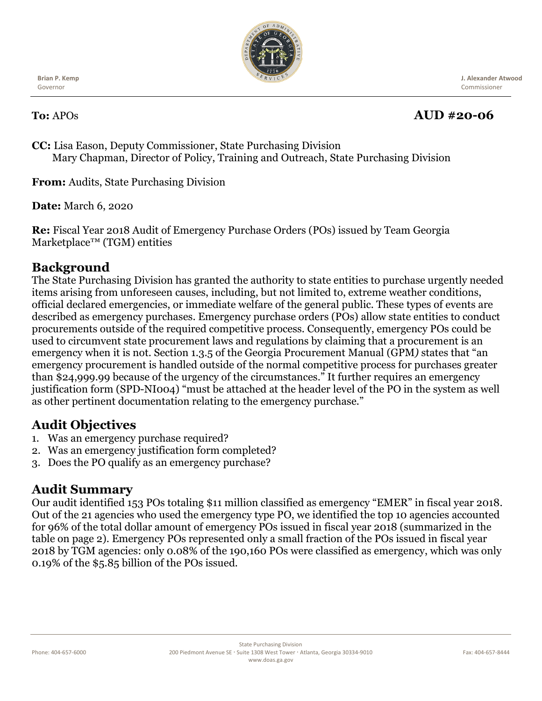

**Brian P. Kemp** Governor

 **J. Alexander Atwood** Commissioner

## **To:** APOs **AUD #20-06**

**CC:** Lisa Eason, Deputy Commissioner, State Purchasing Division Mary Chapman, Director of Policy, Training and Outreach, State Purchasing Division

**From:** Audits, State Purchasing Division

**Date:** March 6, 2020

**Re:** Fiscal Year 2018 Audit of Emergency Purchase Orders (POs) issued by Team Georgia Marketplace™ (TGM) entities

### **Background**

The State Purchasing Division has granted the authority to state entities to purchase urgently needed items arising from unforeseen causes, including, but not limited to, extreme weather conditions, official declared emergencies, or immediate welfare of the general public. These types of events are described as emergency purchases. Emergency purchase orders (POs) allow state entities to conduct procurements outside of the required competitive process. Consequently, emergency POs could be used to circumvent state procurement laws and regulations by claiming that a procurement is an emergency when it is not. Section 1.3.5 of the Georgia Procurement Manual (GPM*)* states that "an emergency procurement is handled outside of the normal competitive process for purchases greater than \$24,999.99 because of the urgency of the circumstances." It further requires an emergency justification form (SPD-NI004) "must be attached at the header level of the PO in the system as well as other pertinent documentation relating to the emergency purchase."

### **Audit Objectives**

- 1. Was an emergency purchase required?
- 2. Was an emergency justification form completed?
- 3. Does the PO qualify as an emergency purchase?

### **Audit Summary**

Our audit identified 153 POs totaling \$11 million classified as emergency "EMER" in fiscal year 2018. Out of the 21 agencies who used the emergency type PO, we identified the top 10 agencies accounted for 96% of the total dollar amount of emergency POs issued in fiscal year 2018 (summarized in the table on page 2). Emergency POs represented only a small fraction of the POs issued in fiscal year 2018 by TGM agencies: only 0.08% of the 190,160 POs were classified as emergency, which was only 0.19% of the \$5.85 billion of the POs issued.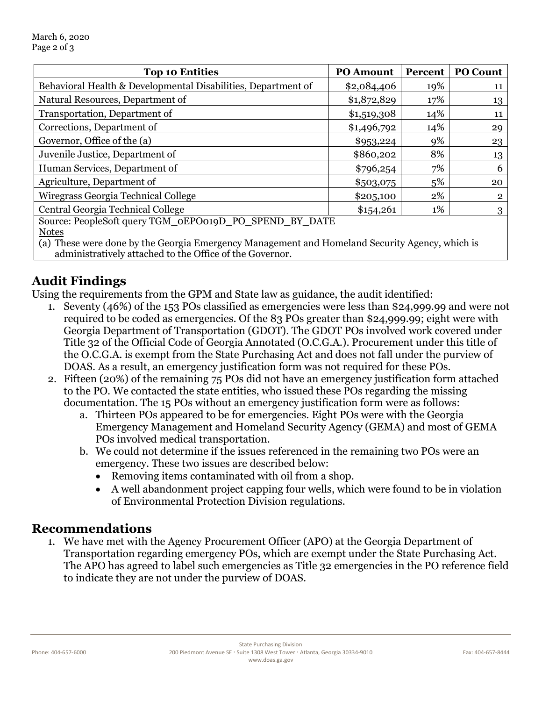| <b>Top 10 Entities</b>                                                 | <b>PO Amount</b> | Percent | <b>PO Count</b> |
|------------------------------------------------------------------------|------------------|---------|-----------------|
| Behavioral Health & Developmental Disabilities, Department of          | \$2,084,406      | 19%     | 11              |
| Natural Resources, Department of                                       | \$1,872,829      | 17%     | 13              |
| Transportation, Department of                                          | \$1,519,308      | 14%     | 11              |
| Corrections, Department of                                             | \$1,496,792      | 14%     | 29              |
| Governor, Office of the (a)                                            | \$953,224        | 9%      | 23              |
| Juvenile Justice, Department of                                        | \$860,202        | 8%      | 13              |
| Human Services, Department of                                          | \$796,254        | 7%      | 6               |
| Agriculture, Department of                                             | \$503,075        | 5%      | 20              |
| Wiregrass Georgia Technical College                                    | \$205,100        | 2%      | $\overline{2}$  |
| Central Georgia Technical College                                      | \$154,261        | 1%      | 3               |
| Source: PeopleSoft query TGM_0EPO019D_PO_SPEND_BY_DATE<br><b>Notes</b> |                  |         |                 |

(a) These were done by the Georgia Emergency Management and Homeland Security Agency, which is administratively attached to the Office of the Governor.

# **Audit Findings**

Using the requirements from the GPM and State law as guidance, the audit identified:

- 1. Seventy (46%) of the 153 POs classified as emergencies were less than \$24,999.99 and were not required to be coded as emergencies. Of the 83 POs greater than \$24,999.99; eight were with Georgia Department of Transportation (GDOT). The GDOT POs involved work covered under Title 32 of the Official Code of Georgia Annotated (O.C.G.A.). Procurement under this title of the O.C.G.A. is exempt from the State Purchasing Act and does not fall under the purview of DOAS. As a result, an emergency justification form was not required for these POs.
- 2. Fifteen (20%) of the remaining 75 POs did not have an emergency justification form attached to the PO. We contacted the state entities, who issued these POs regarding the missing documentation. The 15 POs without an emergency justification form were as follows:
	- a. Thirteen POs appeared to be for emergencies. Eight POs were with the Georgia Emergency Management and Homeland Security Agency (GEMA) and most of GEMA POs involved medical transportation.
	- b. We could not determine if the issues referenced in the remaining two POs were an emergency. These two issues are described below:
		- Removing items contaminated with oil from a shop.
		- A well abandonment project capping four wells, which were found to be in violation of Environmental Protection Division regulations.

#### **Recommendations**

1. We have met with the Agency Procurement Officer (APO) at the Georgia Department of Transportation regarding emergency POs, which are exempt under the State Purchasing Act. The APO has agreed to label such emergencies as Title 32 emergencies in the PO reference field to indicate they are not under the purview of DOAS.